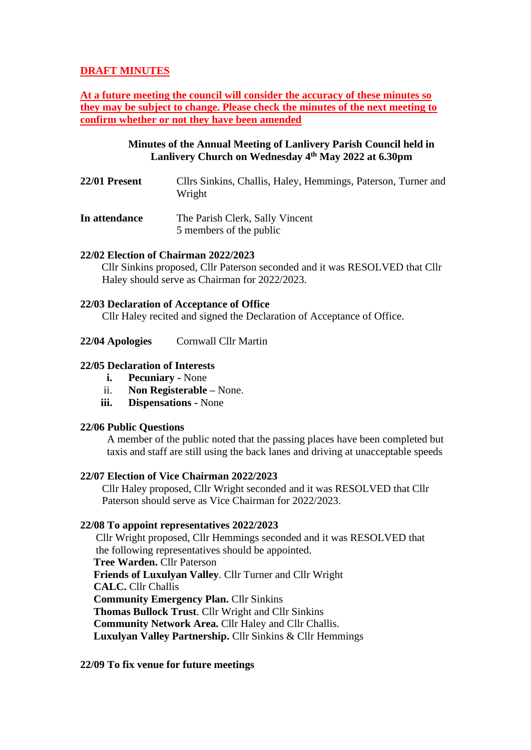# **DRAFT MINUTES**

**At a future meeting the council will consider the accuracy of these minutes so they may be subject to change. Please check the minutes of the next meeting to confirm whether or not they have been amended**

## **Minutes of the Annual Meeting of Lanlivery Parish Council held in Lanlivery Church on Wednesday 4 th May 2022 at 6.30pm**

- **22/01 Present** Cllrs Sinkins, Challis, Haley, Hemmings, Paterson, Turner and Wright
- **In attendance** The Parish Clerk, Sally Vincent 5 members of the public

### **22/02 Election of Chairman 2022/2023**

Cllr Sinkins proposed, Cllr Paterson seconded and it was RESOLVED that Cllr Haley should serve as Chairman for 2022/2023.

### **22/03 Declaration of Acceptance of Office**

Cllr Haley recited and signed the Declaration of Acceptance of Office.

#### **22/04 Apologies** Cornwall Cllr Martin

#### **22/05 Declaration of Interests**

- **i. Pecuniary -** None
- ii. **Non Registerable –** None.
- **iii. Dispensations -** None

### **22/06 Public Questions**

A member of the public noted that the passing places have been completed but taxis and staff are still using the back lanes and driving at unacceptable speeds

#### **22/07 Election of Vice Chairman 2022/2023**

Cllr Haley proposed, Cllr Wright seconded and it was RESOLVED that Cllr Paterson should serve as Vice Chairman for 2022/2023.

### **22/08 To appoint representatives 2022/2023**

Cllr Wright proposed, Cllr Hemmings seconded and it was RESOLVED that the following representatives should be appointed.  **Tree Warden.** Cllr Paterson  **Friends of Luxulyan Valley**. Cllr Turner and Cllr Wright **CALC.** Cllr Challis  **Community Emergency Plan.** Cllr Sinkins **Thomas Bullock Trust**. Cllr Wright and Cllr Sinkins **Community Network Area.** Cllr Haley and Cllr Challis.  **Luxulyan Valley Partnership.** Cllr Sinkins & Cllr Hemmings

### **22/09 To fix venue for future meetings**